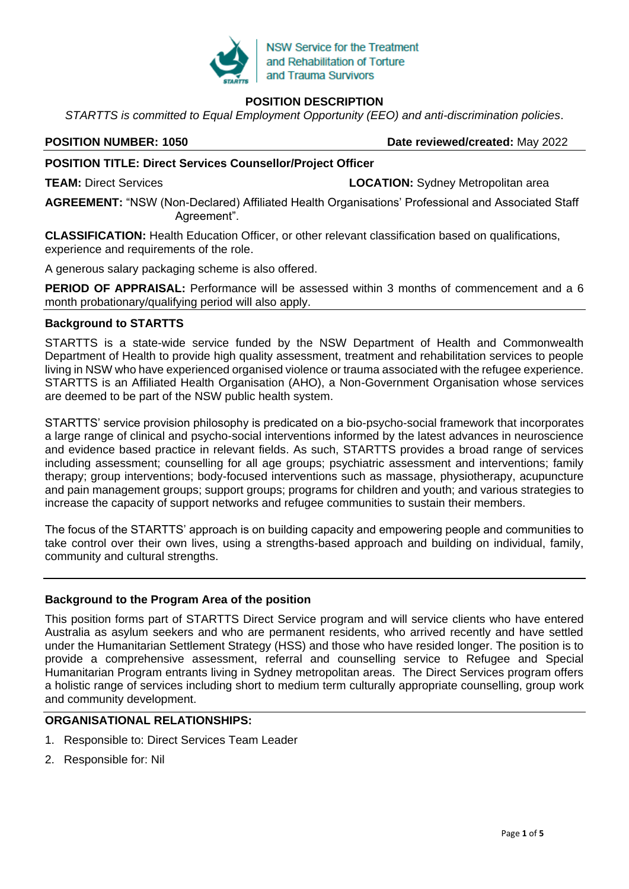

# **POSITION DESCRIPTION**

*STARTTS is committed to Equal Employment Opportunity (EEO) and anti-discrimination policies*.

**POSITION NUMBER: 1050 Date reviewed/created:** May 2022

## **POSITION TITLE: Direct Services Counsellor/Project Officer**

**TEAM:** Direct Services **LOCATION:** Sydney Metropolitan area

**AGREEMENT:** "NSW (Non-Declared) Affiliated Health Organisations' Professional and Associated Staff Agreement".

**CLASSIFICATION:** Health Education Officer, or other relevant classification based on qualifications, experience and requirements of the role.

A generous salary packaging scheme is also offered.

**PERIOD OF APPRAISAL:** Performance will be assessed within 3 months of commencement and a 6 month probationary/qualifying period will also apply.

### **Background to STARTTS**

STARTTS is a state-wide service funded by the NSW Department of Health and Commonwealth Department of Health to provide high quality assessment, treatment and rehabilitation services to people living in NSW who have experienced organised violence or trauma associated with the refugee experience. STARTTS is an Affiliated Health Organisation (AHO), a Non-Government Organisation whose services are deemed to be part of the NSW public health system.

STARTTS' service provision philosophy is predicated on a bio-psycho-social framework that incorporates a large range of clinical and psycho-social interventions informed by the latest advances in neuroscience and evidence based practice in relevant fields. As such, STARTTS provides a broad range of services including assessment; counselling for all age groups; psychiatric assessment and interventions; family therapy; group interventions; body-focused interventions such as massage, physiotherapy, acupuncture and pain management groups; support groups; programs for children and youth; and various strategies to increase the capacity of support networks and refugee communities to sustain their members.

The focus of the STARTTS' approach is on building capacity and empowering people and communities to take control over their own lives, using a strengths-based approach and building on individual, family, community and cultural strengths.

## **Background to the Program Area of the position**

This position forms part of STARTTS Direct Service program and will service clients who have entered Australia as asylum seekers and who are permanent residents, who arrived recently and have settled under the Humanitarian Settlement Strategy (HSS) and those who have resided longer. The position is to provide a comprehensive assessment, referral and counselling service to Refugee and Special Humanitarian Program entrants living in Sydney metropolitan areas. The Direct Services program offers a holistic range of services including short to medium term culturally appropriate counselling, group work and community development.

## **ORGANISATIONAL RELATIONSHIPS:**

- 1. Responsible to: Direct Services Team Leader
- 2. Responsible for: Nil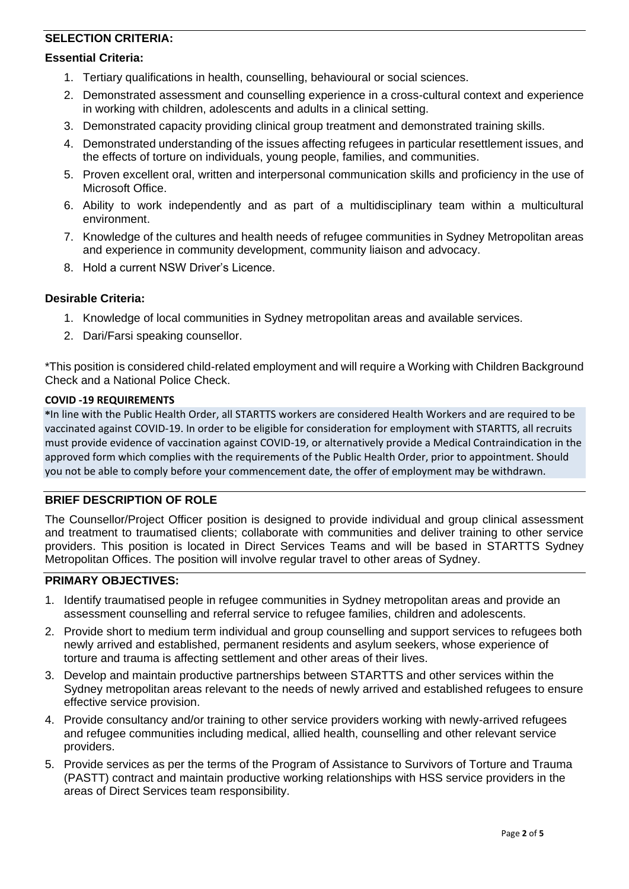# **SELECTION CRITERIA:**

#### **Essential Criteria:**

- 1. Tertiary qualifications in health, counselling, behavioural or social sciences.
- 2. Demonstrated assessment and counselling experience in a cross-cultural context and experience in working with children, adolescents and adults in a clinical setting.
- 3. Demonstrated capacity providing clinical group treatment and demonstrated training skills.
- 4. Demonstrated understanding of the issues affecting refugees in particular resettlement issues, and the effects of torture on individuals, young people, families, and communities.
- 5. Proven excellent oral, written and interpersonal communication skills and proficiency in the use of Microsoft Office.
- 6. Ability to work independently and as part of a multidisciplinary team within a multicultural environment.
- 7. Knowledge of the cultures and health needs of refugee communities in Sydney Metropolitan areas and experience in community development, community liaison and advocacy.
- 8. Hold a current NSW Driver's Licence.

#### **Desirable Criteria:**

- 1. Knowledge of local communities in Sydney metropolitan areas and available services.
- 2. Dari/Farsi speaking counsellor.

\*This position is considered child-related employment and will require a Working with Children Background Check and a National Police Check.

#### **COVID -19 REQUIREMENTS**

**\***In line with the Public Health Order, all STARTTS workers are considered Health Workers and are required to be vaccinated against COVID-19. In order to be eligible for consideration for employment with STARTTS, all recruits must provide evidence of vaccination against COVID-19, or alternatively provide a Medical Contraindication in the approved form which complies with the requirements of the Public Health Order, prior to appointment. Should you not be able to comply before your commencement date, the offer of employment may be withdrawn.

## **BRIEF DESCRIPTION OF ROLE**

The Counsellor/Project Officer position is designed to provide individual and group clinical assessment and treatment to traumatised clients; collaborate with communities and deliver training to other service providers. This position is located in Direct Services Teams and will be based in STARTTS Sydney Metropolitan Offices. The position will involve regular travel to other areas of Sydney.

### **PRIMARY OBJECTIVES:**

- 1. Identify traumatised people in refugee communities in Sydney metropolitan areas and provide an assessment counselling and referral service to refugee families, children and adolescents.
- 2. Provide short to medium term individual and group counselling and support services to refugees both newly arrived and established, permanent residents and asylum seekers, whose experience of torture and trauma is affecting settlement and other areas of their lives.
- 3. Develop and maintain productive partnerships between STARTTS and other services within the Sydney metropolitan areas relevant to the needs of newly arrived and established refugees to ensure effective service provision.
- 4. Provide consultancy and/or training to other service providers working with newly-arrived refugees and refugee communities including medical, allied health, counselling and other relevant service providers.
- 5. Provide services as per the terms of the Program of Assistance to Survivors of Torture and Trauma (PASTT) contract and maintain productive working relationships with HSS service providers in the areas of Direct Services team responsibility.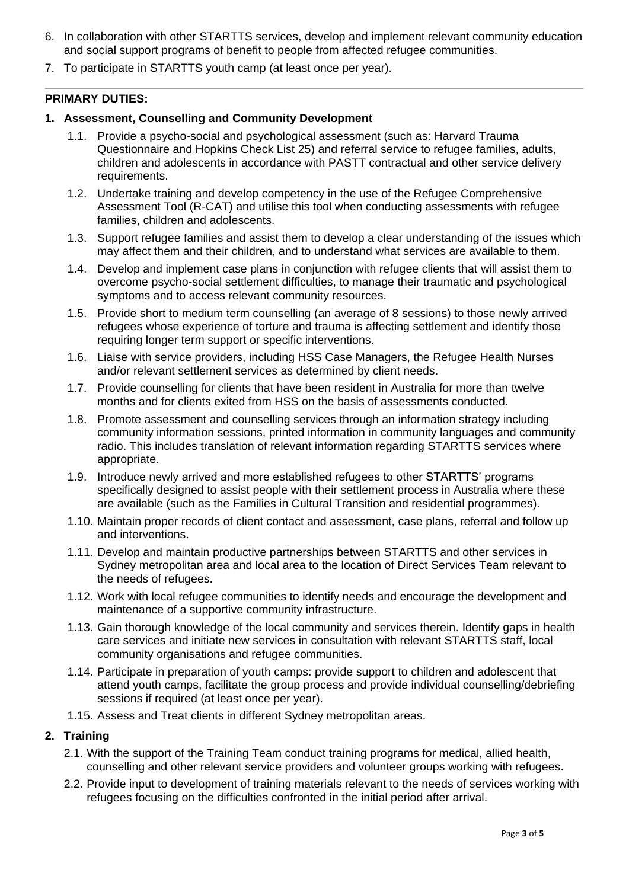- 6. In collaboration with other STARTTS services, develop and implement relevant community education and social support programs of benefit to people from affected refugee communities.
- 7. To participate in STARTTS youth camp (at least once per year).

## **PRIMARY DUTIES:**

### **1. Assessment, Counselling and Community Development**

- 1.1. Provide a psycho-social and psychological assessment (such as: Harvard Trauma Questionnaire and Hopkins Check List 25) and referral service to refugee families, adults, children and adolescents in accordance with PASTT contractual and other service delivery requirements.
- 1.2. Undertake training and develop competency in the use of the Refugee Comprehensive Assessment Tool (R-CAT) and utilise this tool when conducting assessments with refugee families, children and adolescents.
- 1.3. Support refugee families and assist them to develop a clear understanding of the issues which may affect them and their children, and to understand what services are available to them.
- 1.4. Develop and implement case plans in conjunction with refugee clients that will assist them to overcome psycho-social settlement difficulties, to manage their traumatic and psychological symptoms and to access relevant community resources.
- 1.5. Provide short to medium term counselling (an average of 8 sessions) to those newly arrived refugees whose experience of torture and trauma is affecting settlement and identify those requiring longer term support or specific interventions.
- 1.6. Liaise with service providers, including HSS Case Managers, the Refugee Health Nurses and/or relevant settlement services as determined by client needs.
- 1.7. Provide counselling for clients that have been resident in Australia for more than twelve months and for clients exited from HSS on the basis of assessments conducted.
- 1.8. Promote assessment and counselling services through an information strategy including community information sessions, printed information in community languages and community radio. This includes translation of relevant information regarding STARTTS services where appropriate.
- 1.9. Introduce newly arrived and more established refugees to other STARTTS' programs specifically designed to assist people with their settlement process in Australia where these are available (such as the Families in Cultural Transition and residential programmes).
- 1.10. Maintain proper records of client contact and assessment, case plans, referral and follow up and interventions.
- 1.11. Develop and maintain productive partnerships between STARTTS and other services in Sydney metropolitan area and local area to the location of Direct Services Team relevant to the needs of refugees.
- 1.12. Work with local refugee communities to identify needs and encourage the development and maintenance of a supportive community infrastructure.
- 1.13. Gain thorough knowledge of the local community and services therein. Identify gaps in health care services and initiate new services in consultation with relevant STARTTS staff, local community organisations and refugee communities.
- 1.14. Participate in preparation of youth camps: provide support to children and adolescent that attend youth camps, facilitate the group process and provide individual counselling/debriefing sessions if required (at least once per year).
- 1.15. Assess and Treat clients in different Sydney metropolitan areas.

## **2. Training**

- 2.1. With the support of the Training Team conduct training programs for medical, allied health, counselling and other relevant service providers and volunteer groups working with refugees.
- 2.2. Provide input to development of training materials relevant to the needs of services working with refugees focusing on the difficulties confronted in the initial period after arrival.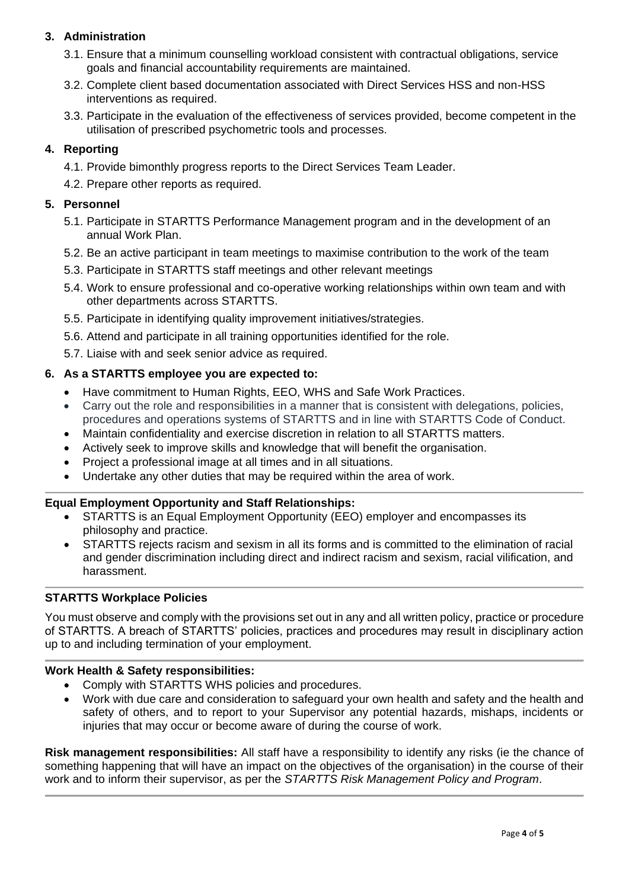# **3. Administration**

- 3.1. Ensure that a minimum counselling workload consistent with contractual obligations, service goals and financial accountability requirements are maintained.
- 3.2. Complete client based documentation associated with Direct Services HSS and non-HSS interventions as required.
- 3.3. Participate in the evaluation of the effectiveness of services provided, become competent in the utilisation of prescribed psychometric tools and processes.

# **4. Reporting**

- 4.1. Provide bimonthly progress reports to the Direct Services Team Leader.
- 4.2. Prepare other reports as required.

## **5. Personnel**

- 5.1. Participate in STARTTS Performance Management program and in the development of an annual Work Plan.
- 5.2. Be an active participant in team meetings to maximise contribution to the work of the team
- 5.3. Participate in STARTTS staff meetings and other relevant meetings
- 5.4. Work to ensure professional and co-operative working relationships within own team and with other departments across STARTTS.
- 5.5. Participate in identifying quality improvement initiatives/strategies.
- 5.6. Attend and participate in all training opportunities identified for the role.
- 5.7. Liaise with and seek senior advice as required.

### **6. As a STARTTS employee you are expected to:**

- Have commitment to Human Rights, EEO, WHS and Safe Work Practices.
- Carry out the role and responsibilities in a manner that is consistent with delegations, policies, procedures and operations systems of STARTTS and in line with STARTTS Code of Conduct.
- Maintain confidentiality and exercise discretion in relation to all STARTTS matters.
- Actively seek to improve skills and knowledge that will benefit the organisation.
- Project a professional image at all times and in all situations.
- Undertake any other duties that may be required within the area of work.

## **Equal Employment Opportunity and Staff Relationships:**

- STARTTS is an Equal Employment Opportunity (EEO) employer and encompasses its philosophy and practice.
- STARTTS rejects racism and sexism in all its forms and is committed to the elimination of racial and gender discrimination including direct and indirect racism and sexism, racial vilification, and harassment.

## **STARTTS Workplace Policies**

You must observe and comply with the provisions set out in any and all written policy, practice or procedure of STARTTS. A breach of STARTTS' policies, practices and procedures may result in disciplinary action up to and including termination of your employment.

#### **Work Health & Safety responsibilities:**

- Comply with STARTTS WHS policies and procedures.
- Work with due care and consideration to safeguard your own health and safety and the health and safety of others, and to report to your Supervisor any potential hazards, mishaps, incidents or injuries that may occur or become aware of during the course of work.

**Risk management responsibilities:** All staff have a responsibility to identify any risks (ie the chance of something happening that will have an impact on the objectives of the organisation) in the course of their work and to inform their supervisor, as per the *STARTTS Risk Management Policy and Program*.